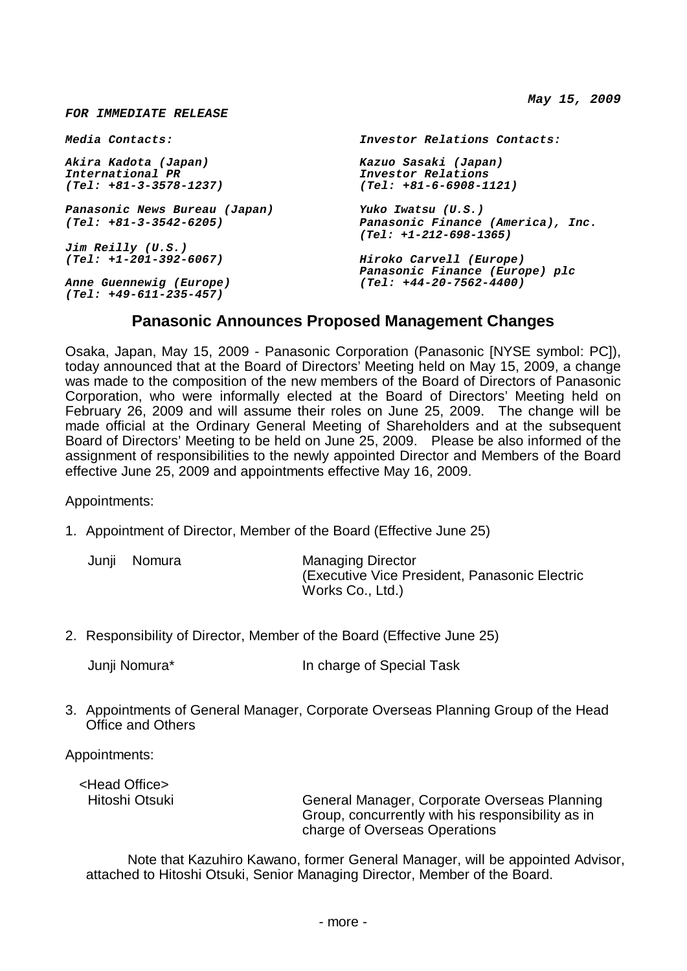*May 15, 2009*

| Media Contacts:                                     | Investor Relations Contacts:                                |
|-----------------------------------------------------|-------------------------------------------------------------|
| Akira Kadota (Japan)                                | Kazuo Sasaki (Japan)                                        |
| <i>International PR</i>                             | Investor Relations                                          |
| $(Tel: +81-3-3578-1237)$                            | $(Tel: +81-6-6908-1121)$                                    |
| Panasonic News Bureau (Japan)                       | Yuko Iwatsu (U.S.)                                          |
| $(Tel: +81-3-3542-6205)$                            | Panasonic Finance (America), Inc.<br>(Tel: +1-212-698-1365) |
| Jim Reilly (U.S.)                                   |                                                             |
| $(Tel: +1-201-392-6067)$                            | Hiroko Carvell (Europe)<br>Panasonic Finance (Europe) plc   |
| Anne Guennewig (Europe)<br>$(Tel: +49-611-235-457)$ | $(Tel: +44-20-7562-4400)$                                   |

## **Panasonic Announces Proposed Management Changes**

Osaka, Japan, May 15, 2009 - Panasonic Corporation (Panasonic [NYSE symbol: PC]), today announced that at the Board of Directors' Meeting held on May 15, 2009, a change was made to the composition of the new members of the Board of Directors of Panasonic Corporation, who were informally elected at the Board of Directors' Meeting held on February 26, 2009 and will assume their roles on June 25, 2009. The change will be made official at the Ordinary General Meeting of Shareholders and at the subsequent Board of Directors' Meeting to be held on June 25, 2009. Please be also informed of the assignment of responsibilities to the newly appointed Director and Members of the Board effective June 25, 2009 and appointments effective May 16, 2009.

Appointments:

*FOR IMMEDIATE RELEASE*

1. Appointment of Director, Member of the Board (Effective June 25)

Junji Nomura Managing Director (Executive Vice President, Panasonic Electric Works Co., Ltd.)

2. Responsibility of Director, Member of the Board (Effective June 25)

Junji Nomura\* In charge of Special Task

3. Appointments of General Manager, Corporate Overseas Planning Group of the Head Office and Others

Appointments:

<Head Office>

Hitoshi Otsuki General Manager, Corporate Overseas Planning Group, concurrently with his responsibility as in charge of Overseas Operations

Note that Kazuhiro Kawano, former General Manager, will be appointed Advisor, attached to Hitoshi Otsuki, Senior Managing Director, Member of the Board.